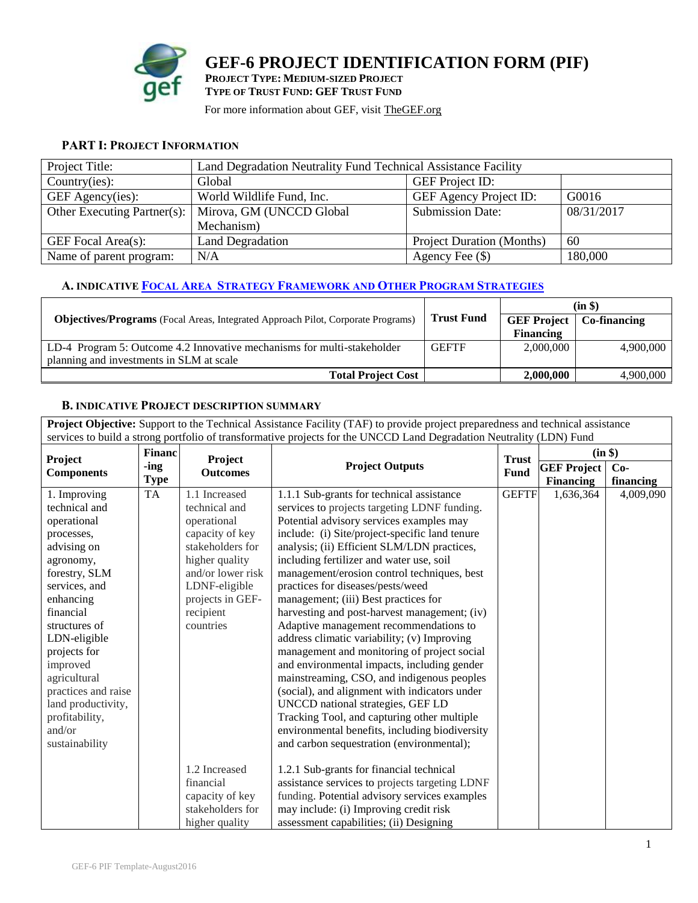

### **PART I: PROJECT INFORMATION**

| Project Title:          |                                                        | Land Degradation Neutrality Fund Technical Assistance Facility |            |  |  |  |
|-------------------------|--------------------------------------------------------|----------------------------------------------------------------|------------|--|--|--|
| Country(ies):           | Global                                                 | <b>GEF</b> Project ID:                                         |            |  |  |  |
| GEF Agency(ies):        | World Wildlife Fund, Inc.                              | GEF Agency Project ID:                                         | G0016      |  |  |  |
|                         | Other Executing Partner(s):   Mirova, GM (UNCCD Global | <b>Submission Date:</b>                                        | 08/31/2017 |  |  |  |
|                         | Mechanism)                                             |                                                                |            |  |  |  |
| GEF Focal Area(s):      | <b>Land Degradation</b>                                | <b>Project Duration (Months)</b>                               | 60         |  |  |  |
| Name of parent program: | N/A                                                    | Agency Fee $(\$)$                                              | 180,000    |  |  |  |

## **A. INDICATIVE FOCAL AREA STRATEGY F[RAMEWORK](https://www.thegef.org/gef/sites/thegef.org/files/documents/document/GEF6%20Results%20Framework%20for%20GEFTF%20and%20LDCF.SCCF_.pdf) AND OTHER PROGRAM STRATEGIES**

|                                                                                         |                   | $(in \$)$                         |           |  |
|-----------------------------------------------------------------------------------------|-------------------|-----------------------------------|-----------|--|
| <b>Objectives/Programs</b> (Focal Areas, Integrated Approach Pilot, Corporate Programs) | <b>Trust Fund</b> | <b>GEF Project</b>   Co-financing |           |  |
|                                                                                         |                   | <b>Financing</b>                  |           |  |
| LD-4 Program 5: Outcome 4.2 Innovative mechanisms for multi-stakeholder                 | <b>GEFTF</b>      | 2,000,000                         | 4,900,000 |  |
| planning and investments in SLM at scale                                                |                   |                                   |           |  |
| <b>Total Project Cost</b>                                                               |                   | 2,000,000                         | 4,900,000 |  |

## **B. INDICATIVE PROJECT DESCRIPTION SUMMARY**

**Project Objective:** Support to the Technical Assistance Facility (TAF) to provide project preparedness and technical assistance services to build a strong portfolio of transformative projects for the UNCCD Land Degradation Neutrality (LDN) Fund

| Project             | Financ      | <b>Project</b>    | <b>Trust</b><br><b>Project Outputs</b>         |              | (in \$)            |           |
|---------------------|-------------|-------------------|------------------------------------------------|--------------|--------------------|-----------|
| <b>Components</b>   | -ing        | <b>Outcomes</b>   |                                                |              | <b>GEF Project</b> | $Co-$     |
|                     | <b>Type</b> |                   |                                                | Fund         | <b>Financing</b>   | financing |
| 1. Improving        | <b>TA</b>   | 1.1 Increased     | 1.1.1 Sub-grants for technical assistance      | <b>GEFTF</b> | 1,636,364          | 4,009,090 |
| technical and       |             | technical and     | services to projects targeting LDNF funding.   |              |                    |           |
| operational         |             | operational       | Potential advisory services examples may       |              |                    |           |
| processes,          |             | capacity of key   | include: (i) Site/project-specific land tenure |              |                    |           |
| advising on         |             | stakeholders for  | analysis; (ii) Efficient SLM/LDN practices,    |              |                    |           |
| agronomy,           |             | higher quality    | including fertilizer and water use, soil       |              |                    |           |
| forestry, SLM       |             | and/or lower risk | management/erosion control techniques, best    |              |                    |           |
| services, and       |             | LDNF-eligible     | practices for diseases/pests/weed              |              |                    |           |
| enhancing           |             | projects in GEF-  | management; (iii) Best practices for           |              |                    |           |
| financial           |             | recipient         | harvesting and post-harvest management; (iv)   |              |                    |           |
| structures of       |             | countries         | Adaptive management recommendations to         |              |                    |           |
| LDN-eligible        |             |                   | address climatic variability; (v) Improving    |              |                    |           |
| projects for        |             |                   | management and monitoring of project social    |              |                    |           |
| improved            |             |                   | and environmental impacts, including gender    |              |                    |           |
| agricultural        |             |                   | mainstreaming, CSO, and indigenous peoples     |              |                    |           |
| practices and raise |             |                   | (social), and alignment with indicators under  |              |                    |           |
| land productivity,  |             |                   | UNCCD national strategies, GEF LD              |              |                    |           |
| profitability,      |             |                   | Tracking Tool, and capturing other multiple    |              |                    |           |
| and/or              |             |                   | environmental benefits, including biodiversity |              |                    |           |
| sustainability      |             |                   | and carbon sequestration (environmental);      |              |                    |           |
|                     |             |                   |                                                |              |                    |           |
|                     |             | 1.2 Increased     | 1.2.1 Sub-grants for financial technical       |              |                    |           |
|                     |             | financial         | assistance services to projects targeting LDNF |              |                    |           |
|                     |             | capacity of key   | funding. Potential advisory services examples  |              |                    |           |
|                     |             | stakeholders for  | may include: (i) Improving credit risk         |              |                    |           |
|                     |             | higher quality    | assessment capabilities; (ii) Designing        |              |                    |           |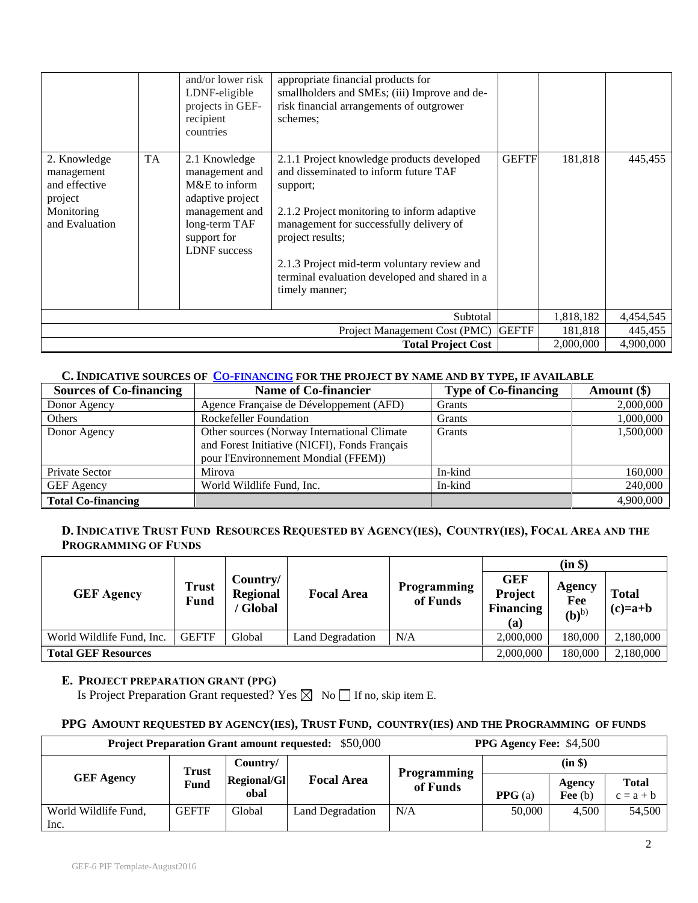|                                                                                        |           | and/or lower risk<br>LDNF-eligible<br>projects in GEF-<br>recipient<br>countries                                                              | appropriate financial products for<br>smallholders and SMEs; (iii) Improve and de-<br>risk financial arrangements of outgrower<br>schemes:                                                                                                                                                                                      |              |           |           |
|----------------------------------------------------------------------------------------|-----------|-----------------------------------------------------------------------------------------------------------------------------------------------|---------------------------------------------------------------------------------------------------------------------------------------------------------------------------------------------------------------------------------------------------------------------------------------------------------------------------------|--------------|-----------|-----------|
| 2. Knowledge<br>management<br>and effective<br>project<br>Monitoring<br>and Evaluation | <b>TA</b> | 2.1 Knowledge<br>management and<br>M&E to inform<br>adaptive project<br>management and<br>long-term TAF<br>support for<br><b>LDNF</b> success | 2.1.1 Project knowledge products developed<br>and disseminated to inform future TAF<br>support;<br>2.1.2 Project monitoring to inform adaptive<br>management for successfully delivery of<br>project results;<br>2.1.3 Project mid-term voluntary review and<br>terminal evaluation developed and shared in a<br>timely manner; | <b>GEFTF</b> | 181,818   | 445,455   |
| Subtotal                                                                               |           |                                                                                                                                               |                                                                                                                                                                                                                                                                                                                                 |              | 1,818,182 | 4,454,545 |
| <b>GEFTF</b><br>Project Management Cost (PMC)                                          |           |                                                                                                                                               |                                                                                                                                                                                                                                                                                                                                 |              | 181,818   | 445,455   |
|                                                                                        |           |                                                                                                                                               | <b>Total Project Cost</b>                                                                                                                                                                                                                                                                                                       |              | 2,000,000 | 4,900,000 |

## **C. INDICATIVE SOURCES OF CO-[FINANCING](http://www.thegef.org/gef/policy/co-financing) FOR THE PROJECT BY NAME AND BY TYPE, IF AVAILABLE**

| <b>Sources of Co-financing</b> | <b>Name of Co-financier</b>                                                                                                         | <b>Type of Co-financing</b> | Amount $(\$)$ |
|--------------------------------|-------------------------------------------------------------------------------------------------------------------------------------|-----------------------------|---------------|
| Donor Agency                   | Agence Française de Développement (AFD)                                                                                             | Grants                      | 2,000,000     |
| Others                         | <b>Rockefeller Foundation</b>                                                                                                       | <b>Grants</b>               | 1,000,000     |
| Donor Agency                   | Other sources (Norway International Climate<br>and Forest Initiative (NICFI), Fonds Français<br>pour l'Environnement Mondial (FFEM) | <b>Grants</b>               | 1,500,000     |
| Private Sector                 | Mirova                                                                                                                              | In-kind                     | 160,000       |
| GEF Agency                     | World Wildlife Fund, Inc.                                                                                                           | In-kind                     | 240,000       |
| <b>Total Co-financing</b>      |                                                                                                                                     |                             | 4,900,000     |

## D. INDICATIVE TRUST FUND RESOURCES REQUESTED BY AGENCY(IES), COUNTRY(IES), FOCAL AREA AND THE **PROGRAMMING OF FUNDS**

|                            |                             |                                         |                   |                         | (in \$)                                          |                                    |                           |
|----------------------------|-----------------------------|-----------------------------------------|-------------------|-------------------------|--------------------------------------------------|------------------------------------|---------------------------|
| <b>GEF Agency</b>          | <b>Trust</b><br><b>Fund</b> | Country/<br><b>Regional</b><br>' Global | <b>Focal Area</b> | Programming<br>of Funds | <b>GEF</b><br>Project<br><b>Financing</b><br>(a) | Agency<br>Fee<br>(b) <sup>b)</sup> | <b>Total</b><br>$(c)=a+b$ |
| World Wildlife Fund, Inc.  | <b>GEFTF</b>                | Global                                  | Land Degradation  | N/A                     | 2,000,000                                        | 180,000                            | 2,180,000                 |
| <b>Total GEF Resources</b> |                             |                                         |                   |                         | 2,000,000                                        | 180,000                            | 2,180,000                 |

### **E. PROJECT PREPARATION GRANT (PPG)**

Is Project Preparation Grant requested? Yes  $\boxtimes$  No  $\Box$  If no, skip item E.

## **PPG AMOUNT REQUESTED BY AGENCY(IES), TRUST FUND, COUNTRY(IES) AND THE PROGRAMMING OF FUNDS**

| <b>Project Preparation Grant amount requested:</b> \$50,000 |              |                    |                   | <b>PPG Agency Fee: \$4,500</b> |         |           |              |
|-------------------------------------------------------------|--------------|--------------------|-------------------|--------------------------------|---------|-----------|--------------|
|                                                             | <b>Trust</b> | Country/           |                   | Programming                    | (in \$) |           |              |
| <b>GEF Agency</b>                                           | Fund         | <b>Regional/Gl</b> | <b>Focal Area</b> | of Funds                       |         | Agency    | <b>Total</b> |
|                                                             |              | obal               |                   |                                | PPG(a)  | Fee $(b)$ | $c = a + b$  |
| World Wildlife Fund,                                        | <b>GEFTF</b> | Global             | Land Degradation  | N/A                            | 50,000  | 4.500     | 54,500       |
| Inc.                                                        |              |                    |                   |                                |         |           |              |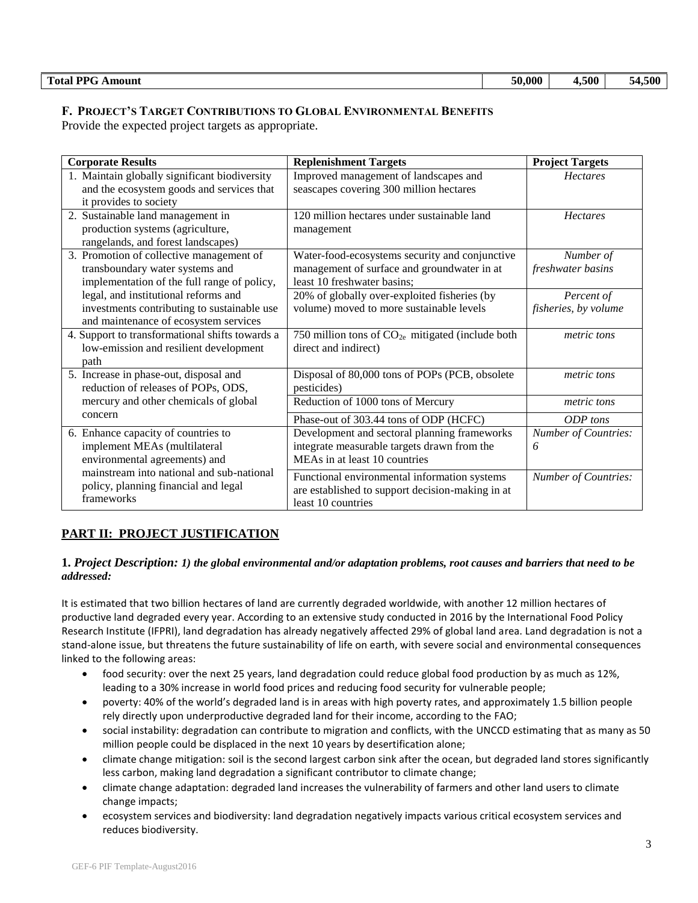# **F. PROJECT'S TARGET CONTRIBUTIONS TO GLOBAL ENVIRONMENTAL BENEFITS**

Provide the expected project targets as appropriate.

| <b>Corporate Results</b>                                                                                                     | <b>Replenishment Targets</b>                                                                                                 | <b>Project Targets</b>             |
|------------------------------------------------------------------------------------------------------------------------------|------------------------------------------------------------------------------------------------------------------------------|------------------------------------|
| 1. Maintain globally significant biodiversity<br>and the ecosystem goods and services that<br>it provides to society         | Improved management of landscapes and<br>seascapes covering 300 million hectares                                             | <b>Hectares</b>                    |
| 2. Sustainable land management in<br>production systems (agriculture,<br>rangelands, and forest landscapes)                  | 120 million hectares under sustainable land<br>management                                                                    | <b>Hectares</b>                    |
| 3. Promotion of collective management of<br>transboundary water systems and<br>implementation of the full range of policy,   | Water-food-ecosystems security and conjunctive<br>management of surface and groundwater in at<br>least 10 freshwater basins; | Number of<br>freshwater basins     |
| legal, and institutional reforms and<br>investments contributing to sustainable use<br>and maintenance of ecosystem services | 20% of globally over-exploited fisheries (by<br>volume) moved to more sustainable levels                                     | Percent of<br>fisheries, by volume |
| 4. Support to transformational shifts towards a<br>low-emission and resilient development<br>path                            | 750 million tons of $CO2e$ mitigated (include both<br>direct and indirect)                                                   | metric tons                        |
| 5. Increase in phase-out, disposal and<br>reduction of releases of POPs, ODS,                                                | Disposal of 80,000 tons of POPs (PCB, obsolete<br>pesticides)                                                                | metric tons                        |
| mercury and other chemicals of global                                                                                        | Reduction of 1000 tons of Mercury                                                                                            | metric tons                        |
| concern                                                                                                                      | Phase-out of 303.44 tons of ODP (HCFC)                                                                                       | ODP tons                           |
| 6. Enhance capacity of countries to<br>implement MEAs (multilateral<br>environmental agreements) and                         | Development and sectoral planning frameworks<br>integrate measurable targets drawn from the<br>MEAs in at least 10 countries | <b>Number of Countries:</b><br>6   |
| mainstream into national and sub-national<br>policy, planning financial and legal<br>frameworks                              | Functional environmental information systems<br>are established to support decision-making in at<br>least 10 countries       | <b>Number of Countries:</b>        |

## **PART II: PROJECT JUSTIFICATION**

### **1.** *Project Description: 1) the global environmental and/or adaptation problems, root causes and barriers that need to be addressed:*

It is estimated that two billion hectares of land are currently degraded worldwide, with another 12 million hectares of productive land degraded every year. According to an extensive study conducted in 2016 by the International Food Policy Research Institute (IFPRI), land degradation has already negatively affected 29% of global land area. Land degradation is not a stand-alone issue, but threatens the future sustainability of life on earth, with severe social and environmental consequences linked to the following areas:

- food security: over the next 25 years, land degradation could reduce global food production by as much as 12%, leading to a 30% increase in world food prices and reducing food security for vulnerable people;
- poverty: 40% of the world's degraded land is in areas with high poverty rates, and approximately 1.5 billion people rely directly upon underproductive degraded land for their income, according to the FAO;
- social instability: degradation can contribute to migration and conflicts, with the UNCCD estimating that as many as 50 million people could be displaced in the next 10 years by desertification alone;
- climate change mitigation: soil is the second largest carbon sink after the ocean, but degraded land stores significantly less carbon, making land degradation a significant contributor to climate change;
- climate change adaptation: degraded land increases the vulnerability of farmers and other land users to climate change impacts;
- ecosystem services and biodiversity: land degradation negatively impacts various critical ecosystem services and reduces biodiversity.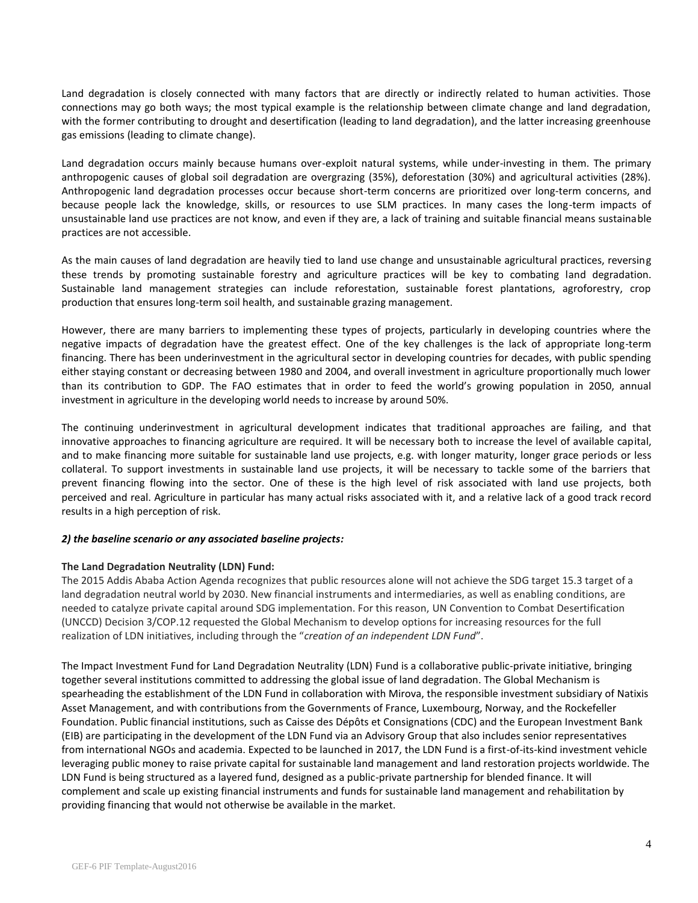Land degradation is closely connected with many factors that are directly or indirectly related to human activities. Those connections may go both ways; the most typical example is the relationship between climate change and land degradation, with the former contributing to drought and desertification (leading to land degradation), and the latter increasing greenhouse gas emissions (leading to climate change).

Land degradation occurs mainly because humans over-exploit natural systems, while under-investing in them. The primary anthropogenic causes of global soil degradation are overgrazing (35%), deforestation (30%) and agricultural activities (28%). Anthropogenic land degradation processes occur because short-term concerns are prioritized over long-term concerns, and because people lack the knowledge, skills, or resources to use SLM practices. In many cases the long-term impacts of unsustainable land use practices are not know, and even if they are, a lack of training and suitable financial means sustainable practices are not accessible.

As the main causes of land degradation are heavily tied to land use change and unsustainable agricultural practices, reversing these trends by promoting sustainable forestry and agriculture practices will be key to combating land degradation. Sustainable land management strategies can include reforestation, sustainable forest plantations, agroforestry, crop production that ensures long-term soil health, and sustainable grazing management.

However, there are many barriers to implementing these types of projects, particularly in developing countries where the negative impacts of degradation have the greatest effect. One of the key challenges is the lack of appropriate long-term financing. There has been underinvestment in the agricultural sector in developing countries for decades, with public spending either staying constant or decreasing between 1980 and 2004, and overall investment in agriculture proportionally much lower than its contribution to GDP. The FAO estimates that in order to feed the world's growing population in 2050, annual investment in agriculture in the developing world needs to increase by around 50%.

The continuing underinvestment in agricultural development indicates that traditional approaches are failing, and that innovative approaches to financing agriculture are required. It will be necessary both to increase the level of available capital, and to make financing more suitable for sustainable land use projects, e.g. with longer maturity, longer grace periods or less collateral. To support investments in sustainable land use projects, it will be necessary to tackle some of the barriers that prevent financing flowing into the sector. One of these is the high level of risk associated with land use projects, both perceived and real. Agriculture in particular has many actual risks associated with it, and a relative lack of a good track record results in a high perception of risk.

#### *2) the baseline scenario or any associated baseline projects:*

#### **The Land Degradation Neutrality (LDN) Fund:**

The 2015 Addis Ababa Action Agenda recognizes that public resources alone will not achieve the SDG target 15.3 target of a land degradation neutral world by 2030. New financial instruments and intermediaries, as well as enabling conditions, are needed to catalyze private capital around SDG implementation. For this reason, UN Convention to Combat Desertification (UNCCD) Decision 3/COP.12 requested the Global Mechanism to develop options for increasing resources for the full realization of LDN initiatives, including through the "*creation of an independent LDN Fund*".

The Impact Investment Fund for Land Degradation Neutrality (LDN) Fund is a collaborative public-private initiative, bringing together several institutions committed to addressing the global issue of land degradation. The Global Mechanism is spearheading the establishment of the LDN Fund in collaboration with Mirova, the responsible investment subsidiary of Natixis Asset Management, and with contributions from the Governments of France, Luxembourg, Norway, and the Rockefeller Foundation. Public financial institutions, such as Caisse des Dépôts et Consignations (CDC) and the European Investment Bank (EIB) are participating in the development of the LDN Fund via an Advisory Group that also includes senior representatives from international NGOs and academia. Expected to be launched in 2017, the LDN Fund is a first-of-its-kind investment vehicle leveraging public money to raise private capital for sustainable land management and land restoration projects worldwide. The LDN Fund is being structured as a layered fund, designed as a public-private partnership for blended finance. It will complement and scale up existing financial instruments and funds for sustainable land management and rehabilitation by providing financing that would not otherwise be available in the market.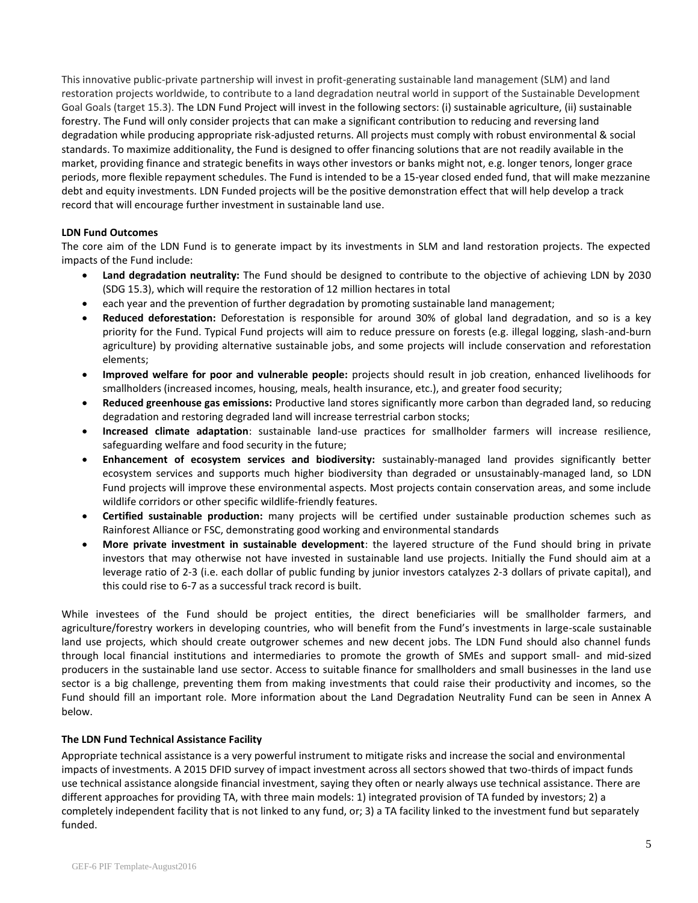This innovative public-private partnership will invest in profit-generating sustainable land management (SLM) and land restoration projects worldwide, to contribute to a land degradation neutral world in support of the Sustainable Development Goal Goals (target 15.3). The LDN Fund Project will invest in the following sectors: (i) sustainable agriculture, (ii) sustainable forestry. The Fund will only consider projects that can make a significant contribution to reducing and reversing land degradation while producing appropriate risk-adjusted returns. All projects must comply with robust environmental & social standards. To maximize additionality, the Fund is designed to offer financing solutions that are not readily available in the market, providing finance and strategic benefits in ways other investors or banks might not, e.g. longer tenors, longer grace periods, more flexible repayment schedules. The Fund is intended to be a 15-year closed ended fund, that will make mezzanine debt and equity investments. LDN Funded projects will be the positive demonstration effect that will help develop a track record that will encourage further investment in sustainable land use.

#### **LDN Fund Outcomes**

The core aim of the LDN Fund is to generate impact by its investments in SLM and land restoration projects. The expected impacts of the Fund include:

- **Land degradation neutrality:** The Fund should be designed to contribute to the objective of achieving LDN by 2030 (SDG 15.3), which will require the restoration of 12 million hectares in total
- each year and the prevention of further degradation by promoting sustainable land management;
- **Reduced deforestation:** Deforestation is responsible for around 30% of global land degradation, and so is a key priority for the Fund. Typical Fund projects will aim to reduce pressure on forests (e.g. illegal logging, slash-and-burn agriculture) by providing alternative sustainable jobs, and some projects will include conservation and reforestation elements;
- **Improved welfare for poor and vulnerable people:** projects should result in job creation, enhanced livelihoods for smallholders (increased incomes, housing, meals, health insurance, etc.), and greater food security;
- **Reduced greenhouse gas emissions:** Productive land stores significantly more carbon than degraded land, so reducing degradation and restoring degraded land will increase terrestrial carbon stocks;
- **Increased climate adaptation**: sustainable land-use practices for smallholder farmers will increase resilience, safeguarding welfare and food security in the future;
- **Enhancement of ecosystem services and biodiversity:** sustainably-managed land provides significantly better ecosystem services and supports much higher biodiversity than degraded or unsustainably-managed land, so LDN Fund projects will improve these environmental aspects. Most projects contain conservation areas, and some include wildlife corridors or other specific wildlife-friendly features.
- **Certified sustainable production:** many projects will be certified under sustainable production schemes such as Rainforest Alliance or FSC, demonstrating good working and environmental standards
- **More private investment in sustainable development**: the layered structure of the Fund should bring in private investors that may otherwise not have invested in sustainable land use projects. Initially the Fund should aim at a leverage ratio of 2-3 (i.e. each dollar of public funding by junior investors catalyzes 2-3 dollars of private capital), and this could rise to 6-7 as a successful track record is built.

While investees of the Fund should be project entities, the direct beneficiaries will be smallholder farmers, and agriculture/forestry workers in developing countries, who will benefit from the Fund's investments in large-scale sustainable land use projects, which should create outgrower schemes and new decent jobs. The LDN Fund should also channel funds through local financial institutions and intermediaries to promote the growth of SMEs and support small- and mid-sized producers in the sustainable land use sector. Access to suitable finance for smallholders and small businesses in the land use sector is a big challenge, preventing them from making investments that could raise their productivity and incomes, so the Fund should fill an important role. More information about the Land Degradation Neutrality Fund can be seen in Annex A below.

#### **The LDN Fund Technical Assistance Facility**

Appropriate technical assistance is a very powerful instrument to mitigate risks and increase the social and environmental impacts of investments. A 2015 DFID survey of impact investment across all sectors showed that two-thirds of impact funds use technical assistance alongside financial investment, saying they often or nearly always use technical assistance. There are different approaches for providing TA, with three main models: 1) integrated provision of TA funded by investors; 2) a completely independent facility that is not linked to any fund, or; 3) a TA facility linked to the investment fund but separately funded.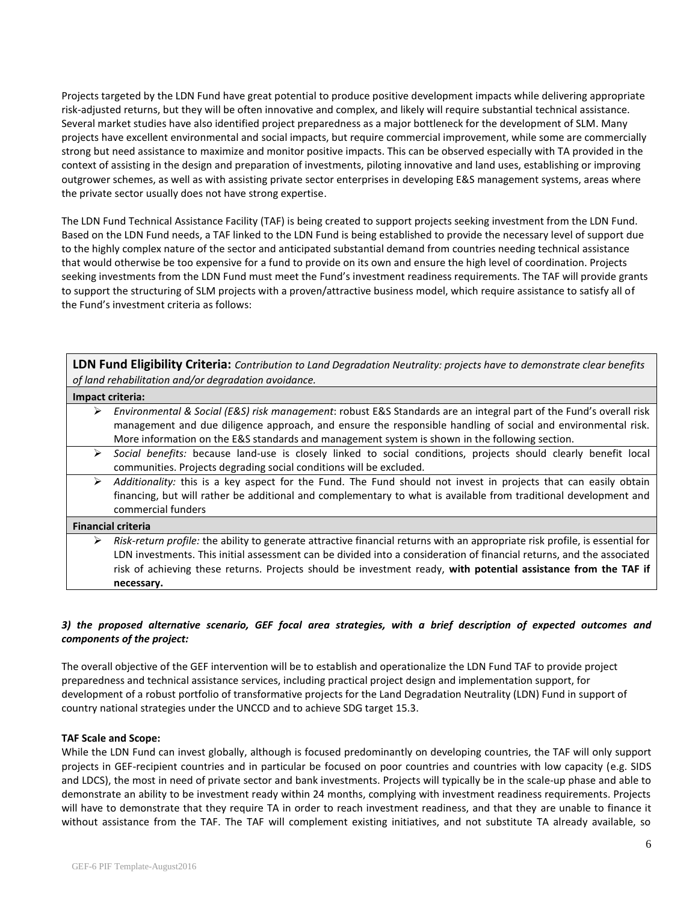Projects targeted by the LDN Fund have great potential to produce positive development impacts while delivering appropriate risk-adjusted returns, but they will be often innovative and complex, and likely will require substantial technical assistance. Several market studies have also identified project preparedness as a major bottleneck for the development of SLM. Many projects have excellent environmental and social impacts, but require commercial improvement, while some are commercially strong but need assistance to maximize and monitor positive impacts. This can be observed especially with TA provided in the context of assisting in the design and preparation of investments, piloting innovative and land uses, establishing or improving outgrower schemes, as well as with assisting private sector enterprises in developing E&S management systems, areas where the private sector usually does not have strong expertise.

The LDN Fund Technical Assistance Facility (TAF) is being created to support projects seeking investment from the LDN Fund. Based on the LDN Fund needs, a TAF linked to the LDN Fund is being established to provide the necessary level of support due to the highly complex nature of the sector and anticipated substantial demand from countries needing technical assistance that would otherwise be too expensive for a fund to provide on its own and ensure the high level of coordination. Projects seeking investments from the LDN Fund must meet the Fund's investment readiness requirements. The TAF will provide grants to support the structuring of SLM projects with a proven/attractive business model, which require assistance to satisfy all of the Fund's investment criteria as follows:

|   | <b>LDN Fund Eligibility Criteria:</b> Contribution to Land Degradation Neutrality: projects have to demonstrate clear benefits<br>of land rehabilitation and/or degradation avoidance. |
|---|----------------------------------------------------------------------------------------------------------------------------------------------------------------------------------------|
|   | Impact criteria:                                                                                                                                                                       |
| ➤ | Environmental & Social (E&S) risk management: robust E&S Standards are an integral part of the Fund's overall risk                                                                     |
|   | management and due diligence approach, and ensure the responsible handling of social and environmental risk.                                                                           |
|   | More information on the E&S standards and management system is shown in the following section.                                                                                         |
| ➤ | Social benefits: because land-use is closely linked to social conditions, projects should clearly benefit local                                                                        |
|   | communities. Projects degrading social conditions will be excluded.                                                                                                                    |
| ➤ | Additionality: this is a key aspect for the Fund. The Fund should not invest in projects that can easily obtain                                                                        |
|   | financing, but will rather be additional and complementary to what is available from traditional development and                                                                       |
|   | commercial funders                                                                                                                                                                     |
|   | <b>Financial criteria</b>                                                                                                                                                              |
| ➤ | Risk-return profile: the ability to generate attractive financial returns with an appropriate risk profile, is essential for                                                           |
|   | LDN investments. This initial assessment can be divided into a consideration of financial returns, and the associated                                                                  |
|   | risk of achieving these returns. Projects should be investment ready, with potential assistance from the TAF if                                                                        |
|   | necessary.                                                                                                                                                                             |

### *3) the proposed alternative scenario, GEF focal area strategies, with a brief description of expected outcomes and components of the project:*

The overall objective of the GEF intervention will be to establish and operationalize the LDN Fund TAF to provide project preparedness and technical assistance services, including practical project design and implementation support, for development of a robust portfolio of transformative projects for the Land Degradation Neutrality (LDN) Fund in support of country national strategies under the UNCCD and to achieve SDG target 15.3.

#### **TAF Scale and Scope:**

While the LDN Fund can invest globally, although is focused predominantly on developing countries, the TAF will only support projects in GEF-recipient countries and in particular be focused on poor countries and countries with low capacity (e.g. SIDS and LDCS), the most in need of private sector and bank investments. Projects will typically be in the scale-up phase and able to demonstrate an ability to be investment ready within 24 months, complying with investment readiness requirements. Projects will have to demonstrate that they require TA in order to reach investment readiness, and that they are unable to finance it without assistance from the TAF. The TAF will complement existing initiatives, and not substitute TA already available, so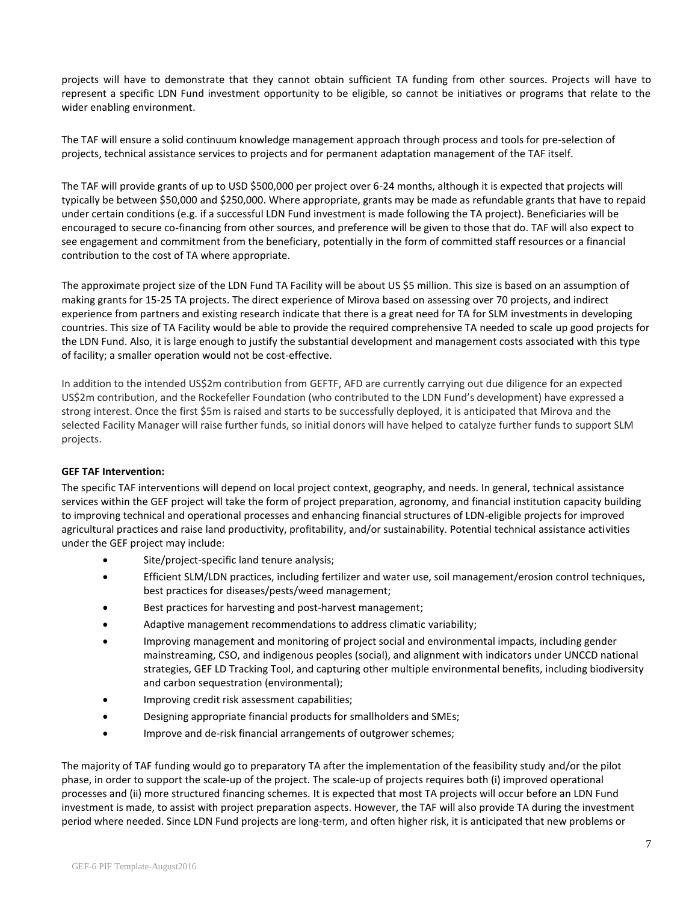projects will have to demonstrate that they cannot obtain sufficient TA funding from other sources. Projects will have to represent a specific LDN Fund investment opportunity to be eligible, so cannot be initiatives or programs that relate to the wider enabling environment.

The TAF will ensure a solid continuum knowledge management approach through process and tools for pre-selection of projects, technical assistance services to projects and for permanent adaptation management of the TAF itself.

The TAF will provide grants of up to USD \$500,000 per project over 6-24 months, although it is expected that projects will typically be between \$50,000 and \$250,000. Where appropriate, grants may be made as refundable grants that have to repaid under certain conditions (e.g. if a successful LDN Fund investment is made following the TA project). Beneficiaries will be encouraged to secure co-financing from other sources, and preference will be given to those that do. TAF will also expect to see engagement and commitment from the beneficiary, potentially in the form of committed staff resources or a financial contribution to the cost of TA where appropriate.

The approximate project size of the LDN Fund TA Facility will be about US \$5 million. This size is based on an assumption of making grants for 15-25 TA projects. The direct experience of Mirova based on assessing over 70 projects, and indirect experience from partners and existing research indicate that there is a great need for TA for SLM investments in developing countries. This size of TA Facility would be able to provide the required comprehensive TA needed to scale up good projects for the LDN Fund. Also, it is large enough to justify the substantial development and management costs associated with this type of facility; a smaller operation would not be cost-effective.

In addition to the intended US\$2m contribution from GEFTF, AFD are currently carrying out due diligence for an expected US\$2m contribution, and the Rockefeller Foundation (who contributed to the LDN Fund's development) have expressed a strong interest. Once the first \$5m is raised and starts to be successfully deployed, it is anticipated that Mirova and the selected Facility Manager will raise further funds, so initial donors will have helped to catalyze further funds to support SLM projects.

#### **GEF TAF Intervention:**

The specific TAF interventions will depend on local project context, geography, and needs. In general, technical assistance services within the GEF project will take the form of project preparation, agronomy, and financial institution capacity building to improving technical and operational processes and enhancing financial structures of LDN-eligible projects for improved agricultural practices and raise land productivity, profitability, and/or sustainability. Potential technical assistance activities under the GEF project may include:

- Site/project-specific land tenure analysis;
- Efficient SLM/LDN practices, including fertilizer and water use, soil management/erosion control techniques, best practices for diseases/pests/weed management;
- Best practices for harvesting and post-harvest management;
- Adaptive management recommendations to address climatic variability;
- Improving management and monitoring of project social and environmental impacts, including gender mainstreaming, CSO, and indigenous peoples (social), and alignment with indicators under UNCCD national strategies, GEF LD Tracking Tool, and capturing other multiple environmental benefits, including biodiversity and carbon sequestration (environmental);
- Improving credit risk assessment capabilities;
- Designing appropriate financial products for smallholders and SMEs;
- Improve and de-risk financial arrangements of outgrower schemes;

The majority of TAF funding would go to preparatory TA after the implementation of the feasibility study and/or the pilot phase, in order to support the scale-up of the project. The scale-up of projects requires both (i) improved operational processes and (ii) more structured financing schemes. It is expected that most TA projects will occur before an LDN Fund investment is made, to assist with project preparation aspects. However, the TAF will also provide TA during the investment period where needed. Since LDN Fund projects are long-term, and often higher risk, it is anticipated that new problems or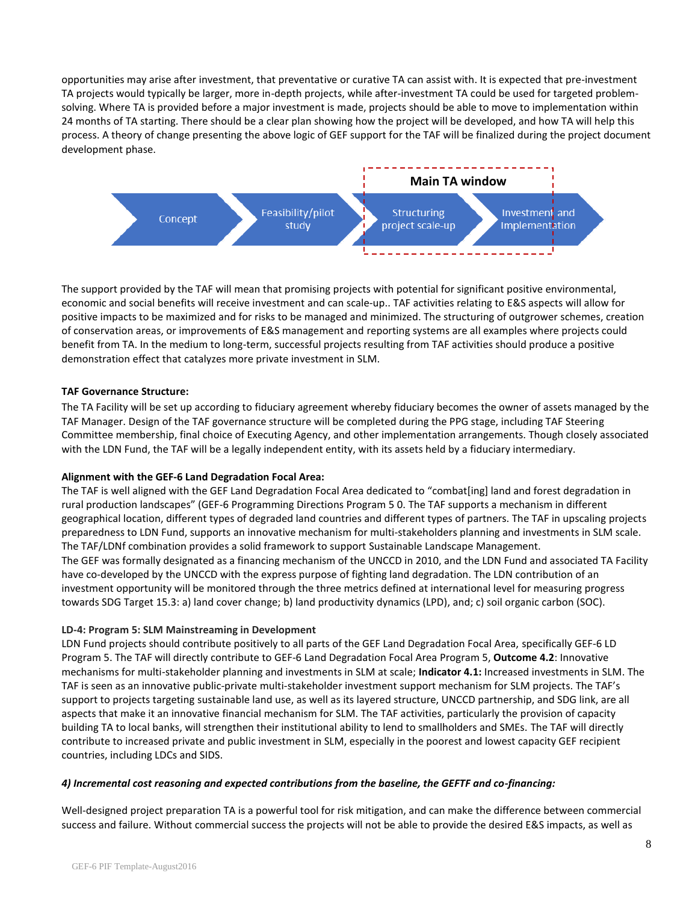opportunities may arise after investment, that preventative or curative TA can assist with. It is expected that pre-investment TA projects would typically be larger, more in-depth projects, while after-investment TA could be used for targeted problemsolving. Where TA is provided before a major investment is made, projects should be able to move to implementation within 24 months of TA starting. There should be a clear plan showing how the project will be developed, and how TA will help this process. A theory of change presenting the above logic of GEF support for the TAF will be finalized during the project document development phase.



The support provided by the TAF will mean that promising projects with potential for significant positive environmental, economic and social benefits will receive investment and can scale-up.. TAF activities relating to E&S aspects will allow for positive impacts to be maximized and for risks to be managed and minimized. The structuring of outgrower schemes, creation of conservation areas, or improvements of E&S management and reporting systems are all examples where projects could benefit from TA. In the medium to long-term, successful projects resulting from TAF activities should produce a positive demonstration effect that catalyzes more private investment in SLM.

#### **TAF Governance Structure:**

The TA Facility will be set up according to fiduciary agreement whereby fiduciary becomes the owner of assets managed by the TAF Manager. Design of the TAF governance structure will be completed during the PPG stage, including TAF Steering Committee membership, final choice of Executing Agency, and other implementation arrangements. Though closely associated with the LDN Fund, the TAF will be a legally independent entity, with its assets held by a fiduciary intermediary.

#### **Alignment with the GEF-6 Land Degradation Focal Area:**

The TAF is well aligned with the GEF Land Degradation Focal Area dedicated to "combat[ing] land and forest degradation in rural production landscapes" (GEF-6 Programming Directions Program 5 0. The TAF supports a mechanism in different geographical location, different types of degraded land countries and different types of partners. The TAF in upscaling projects preparedness to LDN Fund, supports an innovative mechanism for multi-stakeholders planning and investments in SLM scale. The TAF/LDNf combination provides a solid framework to support Sustainable Landscape Management. The GEF was formally designated as a financing mechanism of the UNCCD in 2010, and the LDN Fund and associated TA Facility have co-developed by the UNCCD with the express purpose of fighting land degradation. The LDN contribution of an investment opportunity will be monitored through the three metrics defined at international level for measuring progress towards SDG Target 15.3: a) land cover change; b) land productivity dynamics (LPD), and; c) soil organic carbon (SOC).

#### **LD-4: Program 5: SLM Mainstreaming in Development**

LDN Fund projects should contribute positively to all parts of the GEF Land Degradation Focal Area, specifically GEF-6 LD Program 5. The TAF will directly contribute to GEF-6 Land Degradation Focal Area Program 5, **Outcome 4.2**: Innovative mechanisms for multi-stakeholder planning and investments in SLM at scale; **Indicator 4.1:** Increased investments in SLM. The TAF is seen as an innovative public-private multi-stakeholder investment support mechanism for SLM projects. The TAF's support to projects targeting sustainable land use, as well as its layered structure, UNCCD partnership, and SDG link, are all aspects that make it an innovative financial mechanism for SLM. The TAF activities, particularly the provision of capacity building TA to local banks, will strengthen their institutional ability to lend to smallholders and SMEs. The TAF will directly contribute to increased private and public investment in SLM, especially in the poorest and lowest capacity GEF recipient countries, including LDCs and SIDS.

#### *4) Incremental cost reasoning and expected contributions from the baseline, the GEFTF and co-financing:*

Well-designed project preparation TA is a powerful tool for risk mitigation, and can make the difference between commercial success and failure. Without commercial success the projects will not be able to provide the desired E&S impacts, as well as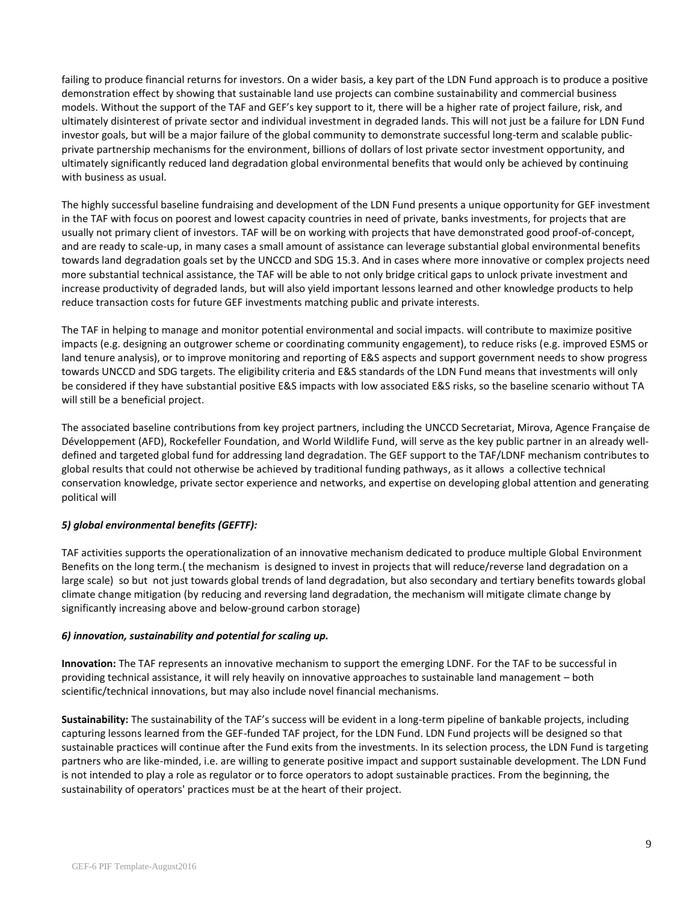failing to produce financial returns for investors. On a wider basis, a key part of the LDN Fund approach is to produce a positive demonstration effect by showing that sustainable land use projects can combine sustainability and commercial business models. Without the support of the TAF and GEF's key support to it, there will be a higher rate of project failure, risk, and ultimately disinterest of private sector and individual investment in degraded lands. This will not just be a failure for LDN Fund investor goals, but will be a major failure of the global community to demonstrate successful long-term and scalable publicprivate partnership mechanisms for the environment, billions of dollars of lost private sector investment opportunity, and ultimately significantly reduced land degradation global environmental benefits that would only be achieved by continuing with business as usual.

The highly successful baseline fundraising and development of the LDN Fund presents a unique opportunity for GEF investment in the TAF with focus on poorest and lowest capacity countries in need of private, banks investments, for projects that are usually not primary client of investors. TAF will be on working with projects that have demonstrated good proof-of-concept, and are ready to scale-up, in many cases a small amount of assistance can leverage substantial global environmental benefits towards land degradation goals set by the UNCCD and SDG 15.3. And in cases where more innovative or complex projects need more substantial technical assistance, the TAF will be able to not only bridge critical gaps to unlock private investment and increase productivity of degraded lands, but will also yield important lessons learned and other knowledge products to help reduce transaction costs for future GEF investments matching public and private interests.

The TAF in helping to manage and monitor potential environmental and social impacts. will contribute to maximize positive impacts (e.g. designing an outgrower scheme or coordinating community engagement), to reduce risks (e.g. improved ESMS or land tenure analysis), or to improve monitoring and reporting of E&S aspects and support government needs to show progress towards UNCCD and SDG targets. The eligibility criteria and E&S standards of the LDN Fund means that investments will only be considered if they have substantial positive E&S impacts with low associated E&S risks, so the baseline scenario without TA will still be a beneficial project.

The associated baseline contributions from key project partners, including the UNCCD Secretariat, Mirova, Agence Française de Développement (AFD), Rockefeller Foundation, and World Wildlife Fund, will serve as the key public partner in an already welldefined and targeted global fund for addressing land degradation. The GEF support to the TAF/LDNF mechanism contributes to global results that could not otherwise be achieved by traditional funding pathways, as it allows a collective technical conservation knowledge, private sector experience and networks, and expertise on developing global attention and generating political will

### *5) global environmental benefits (GEFTF):*

TAF activities supports the operationalization of an innovative mechanism dedicated to produce multiple Global Environment Benefits on the long term.( the mechanism is designed to invest in projects that will reduce/reverse land degradation on a large scale) so but not just towards global trends of land degradation, but also secondary and tertiary benefits towards global climate change mitigation (by reducing and reversing land degradation, the mechanism will mitigate climate change by significantly increasing above and below-ground carbon storage)

#### *6) innovation, sustainability and potential for scaling up.*

**Innovation:** The TAF represents an innovative mechanism to support the emerging LDNF. For the TAF to be successful in providing technical assistance, it will rely heavily on innovative approaches to sustainable land management – both scientific/technical innovations, but may also include novel financial mechanisms.

**Sustainability:** The sustainability of the TAF's success will be evident in a long-term pipeline of bankable projects, including capturing lessons learned from the GEF-funded TAF project, for the LDN Fund. LDN Fund projects will be designed so that sustainable practices will continue after the Fund exits from the investments. In its selection process, the LDN Fund is targeting partners who are like-minded, i.e. are willing to generate positive impact and support sustainable development. The LDN Fund is not intended to play a role as regulator or to force operators to adopt sustainable practices. From the beginning, the sustainability of operators' practices must be at the heart of their project.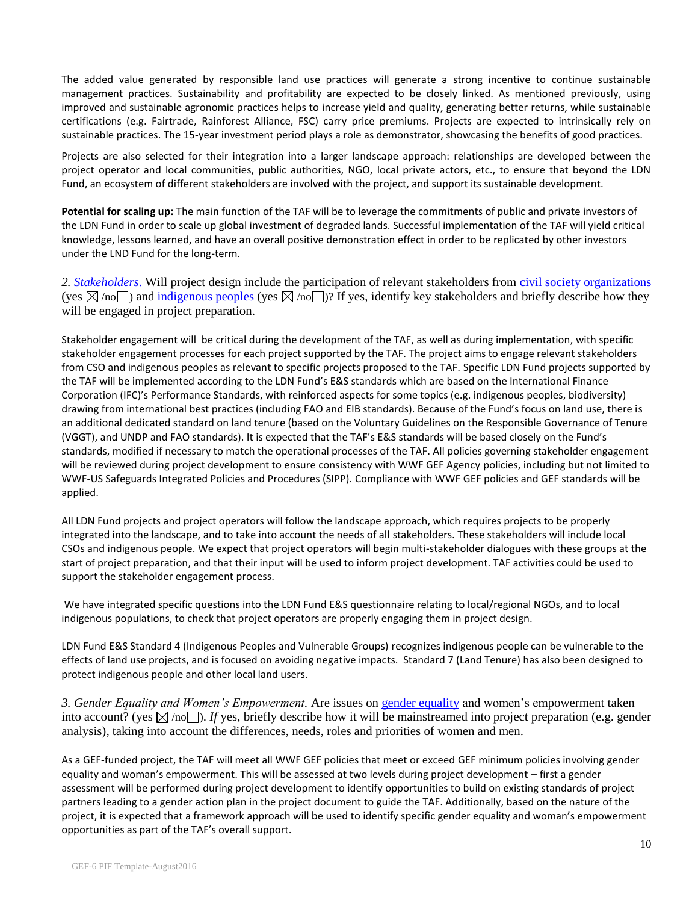The added value generated by responsible land use practices will generate a strong incentive to continue sustainable management practices. Sustainability and profitability are expected to be closely linked. As mentioned previously, using improved and sustainable agronomic practices helps to increase yield and quality, generating better returns, while sustainable certifications (e.g. Fairtrade, Rainforest Alliance, FSC) carry price premiums. Projects are expected to intrinsically rely on sustainable practices. The 15-year investment period plays a role as demonstrator, showcasing the benefits of good practices.

Projects are also selected for their integration into a larger landscape approach: relationships are developed between the project operator and local communities, public authorities, NGO, local private actors, etc., to ensure that beyond the LDN Fund, an ecosystem of different stakeholders are involved with the project, and support its sustainable development.

**Potential for scaling up:** The main function of the TAF will be to leverage the commitments of public and private investors of the LDN Fund in order to scale up global investment of degraded lands. Successful implementation of the TAF will yield critical knowledge, lessons learned, and have an overall positive demonstration effect in order to be replicated by other investors under the LND Fund for the long-term.

*2. [Stakeholders](http://www.thegef.org/gef/sites/thegef.org/files/documents/document/Public_Involvement_Policy.Dec_1_2011_rev_PB.pdf)*. Will project design include the participation of relevant stakeholders from [civil society organizations](http://www.thegef.org/gef/csos) (yes  $\boxtimes$  /no ) and [indigenous peoples](http://www.thegef.org/gef/sites/thegef.org/files/publication/GEF%20IndigenousPeople_CRA_lores.pdf) (yes  $\boxtimes$  /no )? If yes, identify key stakeholders and briefly describe how they will be engaged in project preparation.

Stakeholder engagement will be critical during the development of the TAF, as well as during implementation, with specific stakeholder engagement processes for each project supported by the TAF. The project aims to engage relevant stakeholders from CSO and indigenous peoples as relevant to specific projects proposed to the TAF. Specific LDN Fund projects supported by the TAF will be implemented according to the LDN Fund's E&S standards which are based on the International Finance Corporation (IFC)'s Performance Standards, with reinforced aspects for some topics (e.g. indigenous peoples, biodiversity) drawing from international best practices (including FAO and EIB standards). Because of the Fund's focus on land use, there is an additional dedicated standard on land tenure (based on the Voluntary Guidelines on the Responsible Governance of Tenure (VGGT), and UNDP and FAO standards). It is expected that the TAF's E&S standards will be based closely on the Fund's standards, modified if necessary to match the operational processes of the TAF. All policies governing stakeholder engagement will be reviewed during project development to ensure consistency with WWF GEF Agency policies, including but not limited to WWF-US Safeguards Integrated Policies and Procedures (SIPP). Compliance with WWF GEF policies and GEF standards will be applied.

All LDN Fund projects and project operators will follow the landscape approach, which requires projects to be properly integrated into the landscape, and to take into account the needs of all stakeholders. These stakeholders will include local CSOs and indigenous people. We expect that project operators will begin multi-stakeholder dialogues with these groups at the start of project preparation, and that their input will be used to inform project development. TAF activities could be used to support the stakeholder engagement process.

We have integrated specific questions into the LDN Fund E&S questionnaire relating to local/regional NGOs, and to local indigenous populations, to check that project operators are properly engaging them in project design.

LDN Fund E&S Standard 4 (Indigenous Peoples and Vulnerable Groups) recognizes indigenous people can be vulnerable to the effects of land use projects, and is focused on avoiding negative impacts. Standard 7 (Land Tenure) has also been designed to protect indigenous people and other local land users.

*3. Gender Equality and Women's Empowerment.* Are issues on [gender equality](http://www.thegef.org/gef/policy/gender) and women's empowerment taken into account? (yes  $\boxtimes$  /no  $\Box$ ). If yes, briefly describe how it will be mainstreamed into project preparation (e.g. gender analysis), taking into account the differences, needs, roles and priorities of women and men.

As a GEF-funded project, the TAF will meet all WWF GEF policies that meet or exceed GEF minimum policies involving gender equality and woman's empowerment. This will be assessed at two levels during project development – first a gender assessment will be performed during project development to identify opportunities to build on existing standards of project partners leading to a gender action plan in the project document to guide the TAF. Additionally, based on the nature of the project, it is expected that a framework approach will be used to identify specific gender equality and woman's empowerment opportunities as part of the TAF's overall support.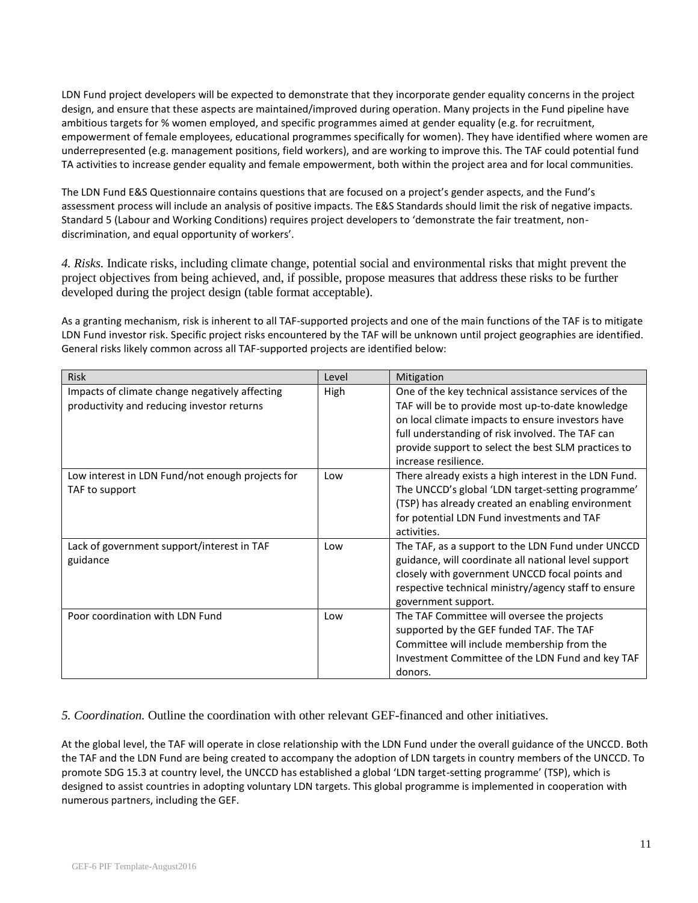LDN Fund project developers will be expected to demonstrate that they incorporate gender equality concerns in the project design, and ensure that these aspects are maintained/improved during operation. Many projects in the Fund pipeline have ambitious targets for % women employed, and specific programmes aimed at gender equality (e.g. for recruitment, empowerment of female employees, educational programmes specifically for women). They have identified where women are underrepresented (e.g. management positions, field workers), and are working to improve this. The TAF could potential fund TA activities to increase gender equality and female empowerment, both within the project area and for local communities.

The LDN Fund E&S Questionnaire contains questions that are focused on a project's gender aspects, and the Fund's assessment process will include an analysis of positive impacts. The E&S Standards should limit the risk of negative impacts. Standard 5 (Labour and Working Conditions) requires project developers to 'demonstrate the fair treatment, nondiscrimination, and equal opportunity of workers'.

*4. Risks.* Indicate risks, including climate change, potential social and environmental risks that might prevent the project objectives from being achieved, and, if possible, propose measures that address these risks to be further developed during the project design (table format acceptable).

As a granting mechanism, risk is inherent to all TAF-supported projects and one of the main functions of the TAF is to mitigate LDN Fund investor risk. Specific project risks encountered by the TAF will be unknown until project geographies are identified. General risks likely common across all TAF-supported projects are identified below:

| <b>Risk</b>                                      | Level | Mitigation                                            |
|--------------------------------------------------|-------|-------------------------------------------------------|
| Impacts of climate change negatively affecting   | High  | One of the key technical assistance services of the   |
| productivity and reducing investor returns       |       | TAF will be to provide most up-to-date knowledge      |
|                                                  |       | on local climate impacts to ensure investors have     |
|                                                  |       | full understanding of risk involved. The TAF can      |
|                                                  |       | provide support to select the best SLM practices to   |
|                                                  |       | increase resilience.                                  |
| Low interest in LDN Fund/not enough projects for | Low   | There already exists a high interest in the LDN Fund. |
| TAF to support                                   |       | The UNCCD's global 'LDN target-setting programme'     |
|                                                  |       | (TSP) has already created an enabling environment     |
|                                                  |       | for potential LDN Fund investments and TAF            |
|                                                  |       | activities.                                           |
| Lack of government support/interest in TAF       | Low   | The TAF, as a support to the LDN Fund under UNCCD     |
| guidance                                         |       | guidance, will coordinate all national level support  |
|                                                  |       | closely with government UNCCD focal points and        |
|                                                  |       | respective technical ministry/agency staff to ensure  |
|                                                  |       | government support.                                   |
| Poor coordination with LDN Fund                  | Low   | The TAF Committee will oversee the projects           |
|                                                  |       | supported by the GEF funded TAF. The TAF              |
|                                                  |       | Committee will include membership from the            |
|                                                  |       | Investment Committee of the LDN Fund and key TAF      |
|                                                  |       | donors.                                               |

*5. Coordination.* Outline the coordination with other relevant GEF-financed and other initiatives.

At the global level, the TAF will operate in close relationship with the LDN Fund under the overall guidance of the UNCCD. Both the TAF and the LDN Fund are being created to accompany the adoption of LDN targets in country members of the UNCCD. To promote SDG 15.3 at country level, the UNCCD has established a global 'LDN target-setting programme' (TSP), which is designed to assist countries in adopting voluntary LDN targets. This global programme is implemented in cooperation with numerous partners, including the GEF.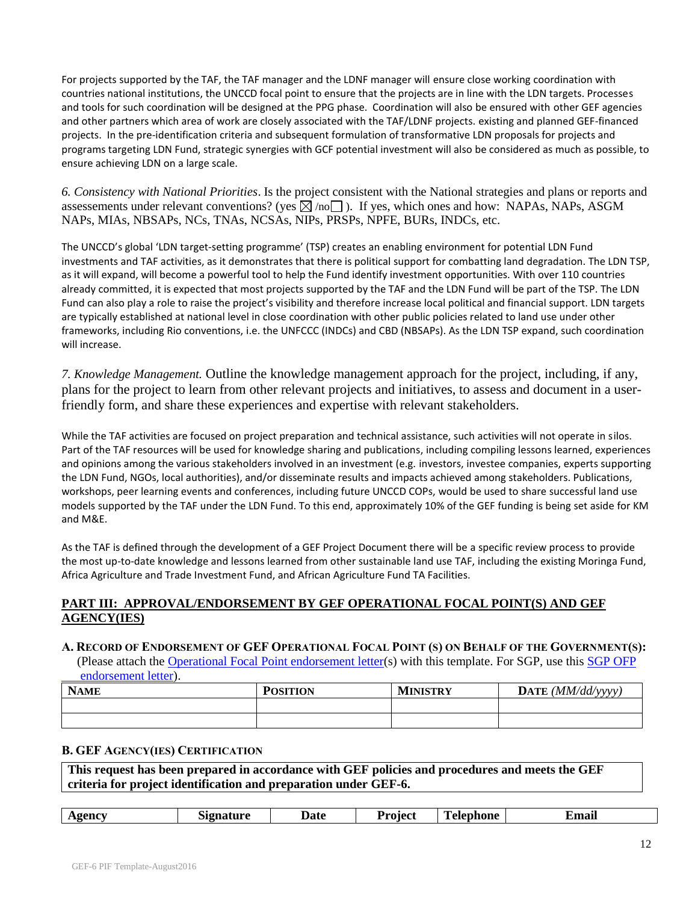For projects supported by the TAF, the TAF manager and the LDNF manager will ensure close working coordination with countries national institutions, the UNCCD focal point to ensure that the projects are in line with the LDN targets. Processes and tools for such coordination will be designed at the PPG phase. Coordination will also be ensured with other GEF agencies and other partners which area of work are closely associated with the TAF/LDNF projects. existing and planned GEF-financed projects. In the pre-identification criteria and subsequent formulation of transformative LDN proposals for projects and programs targeting LDN Fund, strategic synergies with GCF potential investment will also be considered as much as possible, to ensure achieving LDN on a large scale.

*6. Consistency with National Priorities*. Is the project consistent with the National strategies and plans or reports and assessements under relevant conventions? (yes  $\boxtimes$  /no  $\Box$ ). If yes, which ones and how: NAPAs, NAPs, ASGM NAPs, MIAs, NBSAPs, NCs, TNAs, NCSAs, NIPs, PRSPs, NPFE, BURs, INDCs, etc.

The UNCCD's global 'LDN target-setting programme' (TSP) creates an enabling environment for potential LDN Fund investments and TAF activities, as it demonstrates that there is political support for combatting land degradation. The LDN TSP, as it will expand, will become a powerful tool to help the Fund identify investment opportunities. With over 110 countries already committed, it is expected that most projects supported by the TAF and the LDN Fund will be part of the TSP. The LDN Fund can also play a role to raise the project's visibility and therefore increase local political and financial support. LDN targets are typically established at national level in close coordination with other public policies related to land use under other frameworks, including Rio conventions, i.e. the UNFCCC (INDCs) and CBD (NBSAPs). As the LDN TSP expand, such coordination will increase.

*7. Knowledge Management.* Outline the knowledge management approach for the project, including, if any, plans for the project to learn from other relevant projects and initiatives, to assess and document in a userfriendly form, and share these experiences and expertise with relevant stakeholders.

While the TAF activities are focused on project preparation and technical assistance, such activities will not operate in silos. Part of the TAF resources will be used for knowledge sharing and publications, including compiling lessons learned, experiences and opinions among the various stakeholders involved in an investment (e.g. investors, investee companies, experts supporting the LDN Fund, NGOs, local authorities), and/or disseminate results and impacts achieved among stakeholders. Publications, workshops, peer learning events and conferences, including future UNCCD COPs, would be used to share successful land use models supported by the TAF under the LDN Fund. To this end, approximately 10% of the GEF funding is being set aside for KM and M&E.

As the TAF is defined through the development of a GEF Project Document there will be a specific review process to provide the most up-to-date knowledge and lessons learned from other sustainable land use TAF, including the existing Moringa Fund, Africa Agriculture and Trade Investment Fund, and African Agriculture Fund TA Facilities.

## **PART III: APPROVAL/ENDORSEMENT BY GEF OPERATIONAL FOCAL POINT(S) AND GEF AGENCY(IES)**

### A. RECORD OF ENDORSEMENT OF GEF OPERATIONAL FOCAL POINT (S) ON BEHALF OF THE GOVERNMENT(S):

(Please attach the [Operational Focal Point endorsement letter\(](https://www.thegef.org/gef/sites/thegef.org/files/webpage_attached/OFP%20Endorsement%20Letter%20Template-Dec2014.doc)s) with this template. For SGP, use this [SGP OFP](https://www.thegef.org/gef/sites/thegef.org/files/webpage_attached/OFP%20Endorsement%20of%20STAR%20for%20SGP%20Dec2014.docx)   [endorsement letter\)](https://www.thegef.org/gef/sites/thegef.org/files/webpage_attached/OFP%20Endorsement%20of%20STAR%20for%20SGP%20Dec2014.docx).

| <b>NAME</b> | <b>POSITION</b> | <b>MINISTRY</b> | DATE $(MM/dd/vyyy)$<br>---- |
|-------------|-----------------|-----------------|-----------------------------|
|             |                 |                 |                             |
|             |                 |                 |                             |

### **B. GEF AGENCY(IES) CERTIFICATION**

**This request has been prepared in accordance with GEF policies and procedures and meets the GEF criteria for project identification and preparation under GEF-6.**

| Age<br>шашк<br>4 H<br>глиан<br>_____<br>$\sim$ $\sim$ | $\mathbf{r}$<br>Jate<br>Project<br>$\triangle$ Generi<br>.ohone<br>.<br>$         -$ |
|-------------------------------------------------------|--------------------------------------------------------------------------------------|
|-------------------------------------------------------|--------------------------------------------------------------------------------------|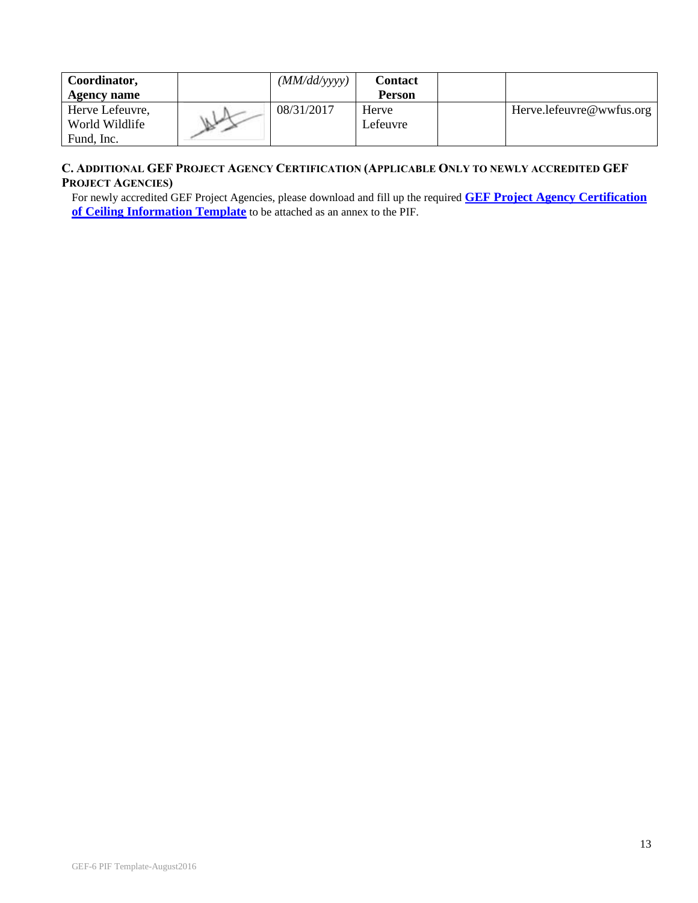| Coordinator,       | (MM/dd/yyyy) | <b>Contact</b> |                          |
|--------------------|--------------|----------------|--------------------------|
| <b>Agency name</b> |              | Person         |                          |
| Herve Lefeuvre,    | 08/31/2017   | Herve          | Herve.lefeuvre@wwfus.org |
| World Wildlife     |              | Lefeuvre       |                          |
| Fund, Inc.         |              |                |                          |

## **C. ADDITIONAL GEF PROJECT AGENCY CERTIFICATION (APPLICABLE ONLY TO NEWLY ACCREDITED GEF PROJECT AGENCIES)**

For newly accredited GEF Project Agencies, please download and fill up the required **[GEF Project Agency Certification](https://www.thegef.org/gef/sites/thegef.org/files/webpage_attached/GEF%20Project%20Agency%20Certification%20Template.docx)  [of Ceiling Information Template](https://www.thegef.org/gef/sites/thegef.org/files/webpage_attached/GEF%20Project%20Agency%20Certification%20Template.docx)** to be attached as an annex to the PIF.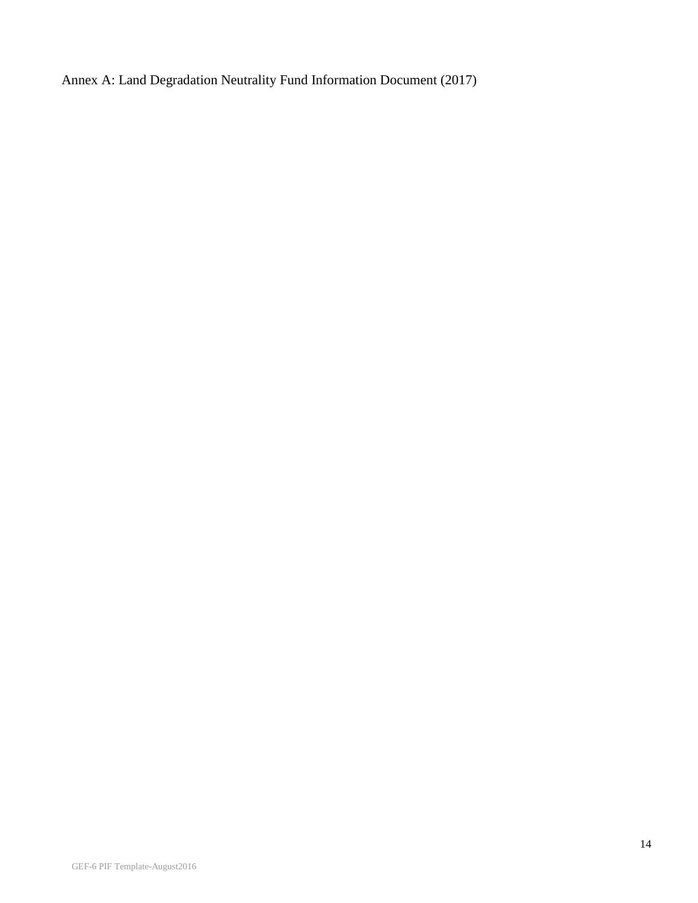Annex A: Land Degradation Neutrality Fund Information Document (2017)